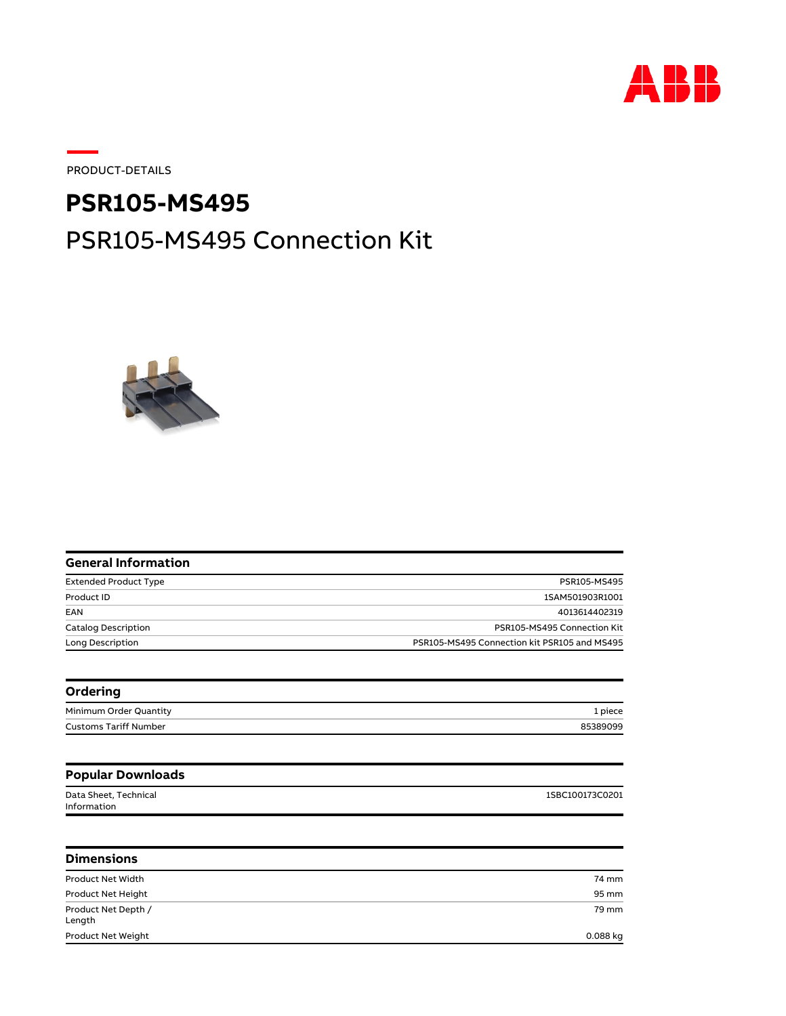

PRODUCT-DETAILS

## PSR105-MS495 Connection Kit **PSR105-MS495**



| PSR105-MS495                                 |
|----------------------------------------------|
| 1SAM501903R1001                              |
| 4013614402319                                |
| PSR105-MS495 Connection Kit                  |
| PSR105-MS495 Connection kit PSR105 and MS495 |
|                                              |
| 1 piece                                      |
| 85389099                                     |
|                                              |
|                                              |
| 1SBC100173C0201                              |
|                                              |
|                                              |
| 74 mm                                        |
| 95 mm                                        |
| 79 mm                                        |
| 0.088 kg                                     |
|                                              |